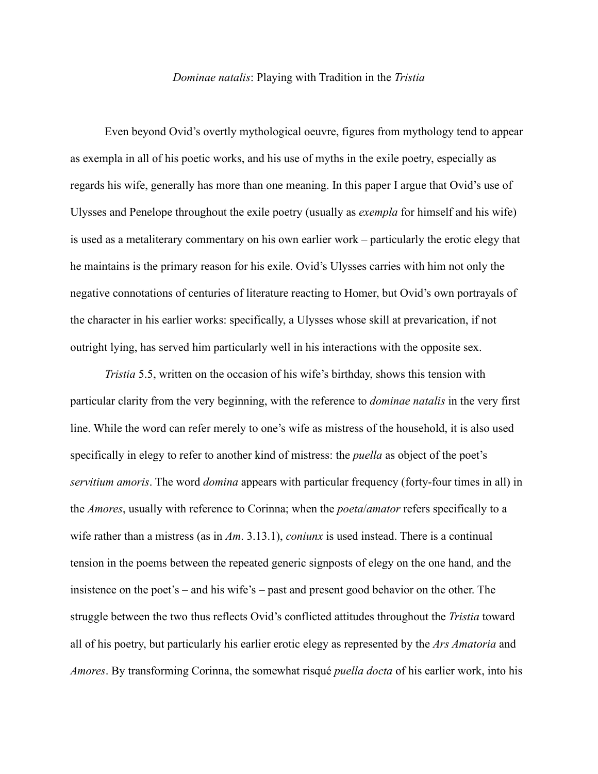## *Dominae natalis*: Playing with Tradition in the *Tristia*

Even beyond Ovid's overtly mythological oeuvre, figures from mythology tend to appear as exempla in all of his poetic works, and his use of myths in the exile poetry, especially as regards his wife, generally has more than one meaning. In this paper I argue that Ovid's use of Ulysses and Penelope throughout the exile poetry (usually as *exempla* for himself and his wife) is used as a metaliterary commentary on his own earlier work – particularly the erotic elegy that he maintains is the primary reason for his exile. Ovid's Ulysses carries with him not only the negative connotations of centuries of literature reacting to Homer, but Ovid's own portrayals of the character in his earlier works: specifically, a Ulysses whose skill at prevarication, if not outright lying, has served him particularly well in his interactions with the opposite sex.

*Tristia* 5.5, written on the occasion of his wife's birthday, shows this tension with particular clarity from the very beginning, with the reference to *dominae natalis* in the very first line. While the word can refer merely to one's wife as mistress of the household, it is also used specifically in elegy to refer to another kind of mistress: the *puella* as object of the poet's *servitium amoris*. The word *domina* appears with particular frequency (forty-four times in all) in the *Amores*, usually with reference to Corinna; when the *poeta*/*amator* refers specifically to a wife rather than a mistress (as in *Am*. 3.13.1), *coniunx* is used instead. There is a continual tension in the poems between the repeated generic signposts of elegy on the one hand, and the insistence on the poet's – and his wife's – past and present good behavior on the other. The struggle between the two thus reflects Ovid's conflicted attitudes throughout the *Tristia* toward all of his poetry, but particularly his earlier erotic elegy as represented by the *Ars Amatoria* and *Amores*. By transforming Corinna, the somewhat risqué *puella docta* of his earlier work, into his